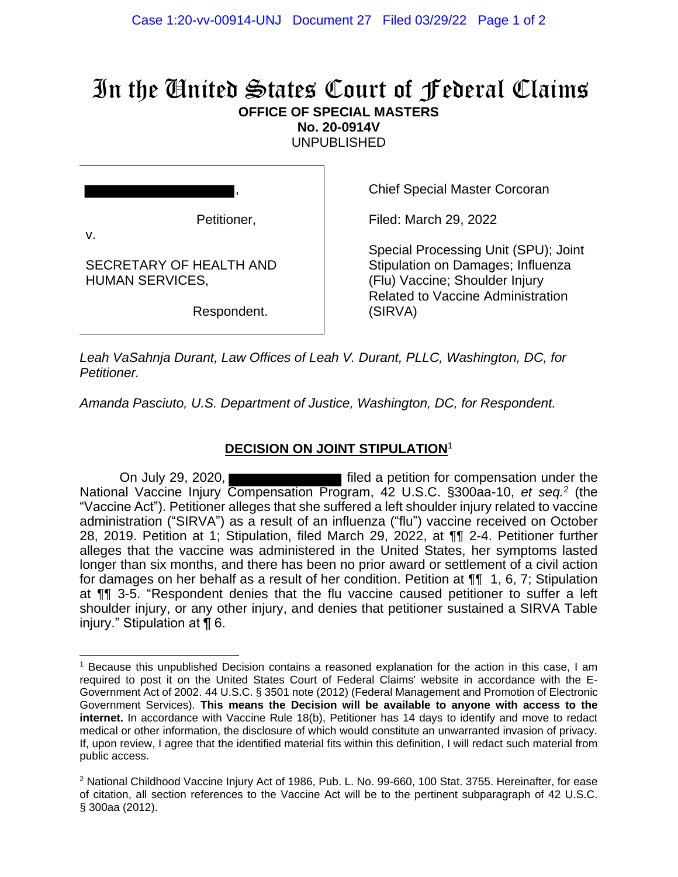## In the United States Court of Federal Claims **OFFICE OF SPECIAL MASTERS**

**No. 20-0914V**

UNPUBLISHED

v.

SECRETARY OF HEALTH AND HUMAN SERVICES,

Respondent.

,

Petitioner,

Chief Special Master Corcoran

Filed: March 29, 2022

Special Processing Unit (SPU); Joint Stipulation on Damages; Influenza (Flu) Vaccine; Shoulder Injury Related to Vaccine Administration (SIRVA)

*Leah VaSahnja Durant, Law Offices of Leah V. Durant, PLLC, Washington, DC, for Petitioner.*

*Amanda Pasciuto, U.S. Department of Justice, Washington, DC, for Respondent.*

## **DECISION ON JOINT STIPULATION**<sup>1</sup>

On July 29, 2020, National Vaccine Injury Compensation Program, 42 U.S.C. §300aa-10, et seq.<sup>2</sup> (the "Vaccine Act"). Petitioner alleges that she suffered a left shoulder injury related to vaccine administration ("SIRVA") as a result of an influenza ("flu") vaccine received on October 28, 2019. Petition at 1; Stipulation, filed March 29, 2022, at ¶¶ 2-4. Petitioner further alleges that the vaccine was administered in the United States, her symptoms lasted longer than six months, and there has been no prior award or settlement of a civil action for damages on her behalf as a result of her condition. Petition at ¶¶ 1, 6, 7; Stipulation at ¶¶ 3-5. "Respondent denies that the flu vaccine caused petitioner to suffer a left shoulder injury, or any other injury, and denies that petitioner sustained a SIRVA Table injury." Stipulation at ¶ 6.

<sup>1</sup> Because this unpublished Decision contains a reasoned explanation for the action in this case, I am required to post it on the United States Court of Federal Claims' website in accordance with the E-Government Act of 2002. 44 U.S.C. § 3501 note (2012) (Federal Management and Promotion of Electronic Government Services). **This means the Decision will be available to anyone with access to the internet.** In accordance with Vaccine Rule 18(b), Petitioner has 14 days to identify and move to redact medical or other information, the disclosure of which would constitute an unwarranted invasion of privacy. If, upon review, I agree that the identified material fits within this definition, I will redact such material from public access.

<sup>&</sup>lt;sup>2</sup> National Childhood Vaccine Injury Act of 1986, Pub. L. No. 99-660, 100 Stat. 3755. Hereinafter, for ease of citation, all section references to the Vaccine Act will be to the pertinent subparagraph of 42 U.S.C. § 300aa (2012).